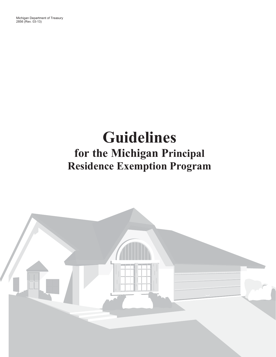$2856$  (Rev. 03-13) 2856 (Rev. 03-13)

# **Guidelines for the Michigan Principal Residence Exemption Program**

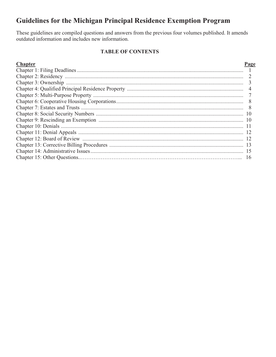# Guidelines for the Michigan Principal Residence Exemption Program

These guidelines are compiled questions and answers from the previous four volumes published. It amends outdated information and includes new information.

# **TABLE OF CONTENTS**

| и |
|---|
|   |

| $\overline{3}$ |
|----------------|
|                |
|                |
| 8              |
| 8              |
| 10             |
| 10             |
|                |
|                |
|                |
|                |
| 15             |
|                |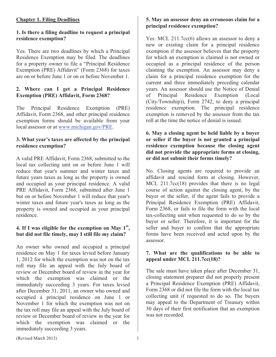# **Chapter 1. Filing Deadlines**

#### **1. Is there a filing deadline to request a principal residence exemption?**

Yes. There are two deadlines by which a Principal Residence Exemption may be filed. The deadlines for a property owner to file a "Principal Residence Exemption (PRE) Affidavit" (Form 2368) for taxes are on or before June 1 or on or before November 1.

# **2. Where can I get a Principal Residence Exemption (PRE) Affidavit, Form 2368?**

The Principal Residence Exemption (PRE) Affidavit, Form 2368, and other principal residence exemption forms should be available from your local assessor or at www.michigan.gov/PRE.

# **3. What year's taxes are affected by the principal residence exemption?**

A valid PRE Affidavit, Form 2368, submitted to the local tax collecting unit on or before June 1 will reduce that year's summer and winter taxes and future years taxes as long as the property is owned and occupied as your principal residence. A valid PRE Affidavit, Form 2368, submitted after June 1 but on or before November 1 will reduce that year's winter taxes and future year's taxes as long as the property is owned and occupied as your principal residence.

# **4. If I was eligible for the exemption on May 1st, but did not file timely, may I still file my claim?**

An owner who owned and occupied a principal residence on May 1 for taxes levied before January 1, 2012 for which the exemption was not on the tax roll may file an appeal with the July board of review or December board of review in the year for which the exemption was claimed or the immediately succeeding 3 years. For taxes levied after December 31, 2011, an owner who owned and occupied a principal residence on June 1 or November 1 for which the exemption was not on the tax roll may file an appeal with the July board of review or December board of review in the year for which the exemption was claimed or the immediately succeeding 3 years.

# **5. May an assessor deny an erroneous claim for a principal residence exemption?**

Yes. MCL 211.7cc(6) allows an assessor to deny a new or existing claim for a principal residence exemption if the assessor believes that the property for which an exemption is claimed is not owned or occupied as a principal residence of the person claiming the exemption. An assessor may deny a claim for a principal residence exemption for the current and three immediately preceding calendar years. An assessor should use the Notice of Denial of Principal Residence Exemption (Local (City/Township)), Form 2742, to deny a principal residence exemption. The principal residence exemption is removed by the assessor from the tax roll at the time the notice of denial is issued.

# **6. May a closing agent be held liable by a buyer or seller if the buyer is not granted a principal residence exemption because the closing agent did not provide the appropriate forms at closing, or did not submit their forms timely?**

No. Closing agents are required to provide an affidavit and rescind form at closing. However, MCL 211.7cc(18) provides that there is no legal course of action against the closing agent, by the buyer or the seller, if the agent fails to provide a Principal Residence Exemption (PRE) Affidavit, Form 2368, or fails to file the form with the local tax-collecting unit when requested to do so by the buyer or seller. Therefore, it is important for the seller and buyer to confirm that the appropriate forms have been received and acted upon by the assessor.

#### **7. What are the qualifications to be able to appeal under MCL 211.7cc(18)?**

The sale must have taken place after December 31, closing statement preparer did not properly present a Principal Residence Exemption (PRE) Affidavit, Form 2368 or did not file the form with the local tax collecting unit if requested to do so. The buyers may appeal to the Department of Treasury within 30 days of their first notification that an exemption was not recorded.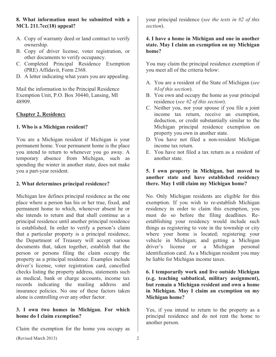# **8. What information must be submitted with a MCL 211.7cc(18) appeal?**

- A. Copy of warranty deed or land contract to verify ownership.
- B. Copy of driver license, voter registration, or other documents to verify occupancy.
- C. Completed Principal Residence Exemption (PRE) Affidavit, Form 2368.
- D. A letter indicating what years you are appealing.

Mail the information to the Principal Residence Exemption Unit, P.O. Box 30440, Lansing, MI 48909.

# **Chapter 2. Residency**

# **1. Who is a Michigan resident?**

You are a Michigan resident if Michigan is your permanent home. Your permanent home is the place you intend to return to whenever you go away. A temporary absence from Michigan, such as spending the winter in another state, does not make you a part-year resident.

#### **2. What determines principal residence?**

Michigan law defines principal residence as the one place where a person has his or her true, fixed, and permanent home to which, whenever absent he or she intends to return and that shall continue as a principal residence until another principal residence is established. In order to verify a person's claim that a particular property is a principal residence, the Department of Treasury will accept various documents that, taken together, establish that the person or persons filing the claim occupy the property as a principal residence. Examples include driver's license, voter registration card, cancelled checks listing the property address, statements such as medical, bank or charge accounts, income tax records indicating the mailing address and insurance policies. No one of these factors taken alone is controlling over any other factor.

#### **3. I own two homes in Michigan. For which home do I claim exemption?**

Claim the exemption for the home you occupy as

your principal residence (*see the tests in #2 of this section*).

#### **4. I have a home in Michigan and one in another state. May I claim an exemption on my Michigan home?**

You may claim the principal residence exemption if you meet all of the criteria below:

- A. You are a resident of the State of Michigan (*see #1of this section*).
- B. You own and occupy the home as your principal residence (*see #2 of this section*).
- C. Neither you, nor your spouse if you file a joint income tax return, receive an exemption, deduction, or credit substantially similar to the Michigan principal residence exemption on property you own in another state.
- D. You have not filed a non-resident Michigan income tax return.
- E. You have not filed a tax return as a resident of another state.

# **5. I own property in Michigan, but moved to another state and have established residency there. May I still claim my Michigan home?**

No. Only Michigan residents are eligible for this exemption. If you wish to re-establish Michigan residency in order to claim this exemption, you must do so before the filing deadlines. Reestablishing your residency would include such things as registering to vote in the township or city where your home is located; registering your vehicle in Michigan; and getting a Michigan driver's license or a Michigan personal identification card. As a Michigan resident you may be liable for Michigan income taxes.

#### **6. I temporarily work and live outside Michigan (e.g. teaching sabbatical, military assignment), but remain a Michigan resident and own a home in Michigan. May I claim an exemption on my Michigan home?**

Yes, if you intend to return to the property as a principal residence and do not rent the home to another person.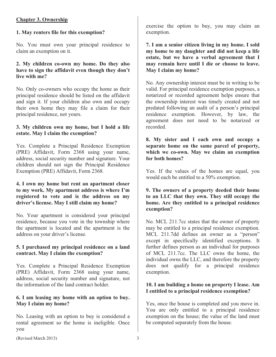# **Chapter 3. Ownership**

#### **1. May renters file for this exemption?**

No. You must own your principal residence to claim an exemption on it.

#### **2. My children co-own my home. Do they also have to sign the affidavit even though they don't live with me?**

No. Only co-owners who occupy the home as their principal residence should be listed on the affidavit and sign it. If your children also own and occupy their own home they may file a claim for their principal residence, not yours.

#### **3. My children own my home, but I hold a life estate. May I claim the exemption?**

Yes. Complete a Principal Residence Exemption (PRE) Affidavit, Form 2368 using your name, address, social security number and signature. Your children should not sign the Principal Residence Exemption (PRE) Affidavit, Form 2368*.*

#### **4. I own my home but rent an apartment closer to my work. My apartment address is where I'm registered to vote and is the address on my driver's license. May I still claim my home?**

No. Your apartment is considered your principal residence, because you vote in the township where the apartment is located and the apartment is the address on your driver's license.

#### **5. I purchased my principal residence on a land contract. May I claim the exemption?**

Yes. Complete a Principal Residence Exemption (PRE) Affidavit, Form 2368 using your name, address, social security number and signature, not the information of the land contract holder.

#### **6. I am leasing my home with an option to buy. May I claim my home?**

No. Leasing with an option to buy is considered a rental agreement so the home is ineligible. Once you

exercise the option to buy, you may claim an exemption.

**7. I am a senior citizen living in my home. I sold my home to my daughter and did not keep a life estate, but we have a verbal agreement that I may remain here until I die or choose to leave. May I claim my home?** 

No. Any ownership interest must be in writing to be valid. For principal residence exemption purposes, a notarized or recorded agreement helps ensure that the ownership interest was timely created and not predated following an audit of a person's principal residence exemption. However, by law, the agreement does not need to be notarized or recorded.

#### **8. My sister and I each own and occupy a separate home on the same parcel of property, which we co-own. May we claim an exemption for both homes?**

Yes. If the values of the homes are equal, you would each be entitled to a 50% exemption.

#### **9. The owners of a property deeded their home to an LLC that they own. They still occupy the home. Are they entitled to a principal residence exemption?**

No. MCL 211.7cc states that the owner of property may be entitled to a principal residence exemption. MCL 211.7dd defines an owner as a "person" except in specifically identified exceptions. It further defines person as an individual for purposes of MCL 211.7cc. The LLC owns the home, the individual owns the LLC, and therefore the property does not qualify for a principal residence exemption.

# **10. I am building a home on property I lease. Am I entitled to a principal residence exemption?**

Yes, once the house is completed and you move in. You are only entitled to a principal residence exemption on the house; the value of the land must be computed separately from the house.

(Revised March 2013) 3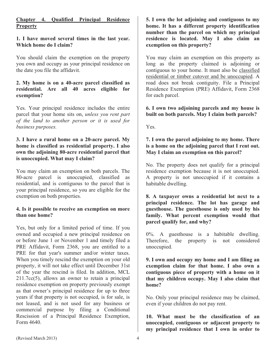# **Chapter 4. Qualified Principal Residence Property**

#### **1. I have moved several times in the last year. Which home do I claim?**

You should claim the exemption on the property you own and occupy as your principal residence on the date you file the affidavit.

## **2. My home is on a 40-acre parcel classified as residential. Are all 40 acres eligible for exemption?**

Yes. Your principal residence includes the entire parcel that your home sits on, *unless you rent part of the land to another person or it is used for business purposes.* 

#### **3. I have a rural home on a 20-acre parcel. My home is classified as residential property. I also own the adjoining 80-acre residential parcel that is unoccupied. What may I claim?**

You may claim an exemption on both parcels. The 80-acre parcel is unoccupied, classified as residential, and is contiguous to the parcel that is your principal residence, so you are eligible for the exemption on both properties.

#### **4. Is it possible to receive an exemption on more than one home?**

Yes, but only for a limited period of time. If you owned and occupied a new principal residence on or before June 1 or November 1 and timely filed a PRE Affidavit, Form 2368, you are entitled to a PRE for that year's summer and/or winter taxes. When you timely rescind the exemption on your old property, it will not take effect until December 31st of the year the rescind is filed. In addition, MCL 211.7cc(5), allows an owner to retain a principal residence exemption on property previously exempt as that owner's principal residence for up to three years if that property is not occupied, is for sale, is not leased, and is not used for any business or commercial purpose by filing a Conditional Rescission of a Principal Residence Exemption, Form 4640.

**5. I own the lot adjoining and contiguous to my home. It has a different property identification number than the parcel on which my principal residence is located. May I also claim an exemption on this property?** 

You may claim an exemption on this property as long as the property claimed is adjoining or contiguous to your home. It must also be classified residential or timber cutover and be unoccupied. A road does not break contiguity. File a Principal Residence Exemption (PRE) Affidavit, Form 2368 for each parcel.

#### **6. I own two adjoining parcels and my house is built on both parcels. May I claim both parcels?**

Yes.

#### **7. I own the parcel adjoining to my home. There is a home on the adjoining parcel that I rent out. May I claim an exemption on this parcel?**

No. The property does not qualify for a principal residence exemption because it is not unoccupied. A property is not unoccupied if it contains a habitable dwelling.

**8. A taxpayer owns a residential lot next to a principal residence. The lot has garage and guesthouse. The guesthouse is only used by his family. What percent exemption would that parcel qualify for, and why?** 

0%. A guesthouse is a habitable dwelling. Therefore, the property is not considered unoccupied.

**9. I own and occupy my home and I am filing an exemption claim for that home. I also own a contiguous piece of property with a home on it that my children occupy. May I also claim that home?**

No. Only your principal residence may be claimed, even if your children do not pay rent.

**10. What must be the classification of an unoccupied, contiguous or adjacent property to my principal residence that I own in order to**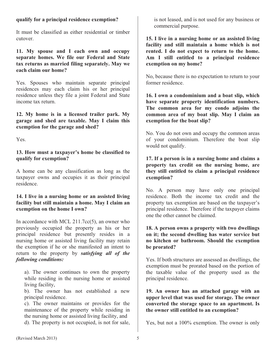#### **qualify for a principal residence exemption?**

It must be classified as either residential or timber cutover.

**11. My spouse and I each own and occupy separate homes. We file our Federal and State tax returns as married filing separately. May we each claim our home?** 

Yes. Spouses who maintain separate principal residences may each claim his or her principal residence unless they file a joint Federal and State income tax return.

**12. My home is in a licensed trailer park. My garage and shed are taxable. May I claim this exemption for the garage and shed?** 

Yes.

#### **13. How must a taxpayer's home be classified to qualify for exemption?**

A home can be any classification as long as the taxpayer owns and occupies it as their principal residence.

#### **14. I live in a nursing home or an assisted living facility but still maintain a home. May I claim an exemption on the home I own?**

In accordance with MCL 211.7cc(5), an owner who previously occupied the property as his or her principal residence but presently resides in a nursing home or assisted living facility may retain the exemption if he or she manifested an intent to return to the property by *satisfying all of the following conditions:*

a). The owner continues to own the property while residing in the nursing home or assisted living facility,

b). The owner has not established a new principal residence.

c). The owner maintains or provides for the maintenance of the property while residing in the nursing home or assisted living facility, and

d). The property is not occupied, is not for sale,

is not leased, and is not used for any business or commercial purpose.

**15. I live in a nursing home or an assisted living facility and still maintain a home which is not rented. I do not expect to return to the home. Am I still entitled to a principal residence exemption on my home?** 

No, because there is no expectation to return to your former residence.

**16. I own a condominium and a boat slip, which have separate property identification numbers. The common area for my condo adjoins the common area of my boat slip. May I claim an exemption for the boat slip?** 

No. You do not own and occupy the common areas of your condominium. Therefore the boat slip would not qualify.

**17. If a person is in a nursing home and claims a property tax credit on the nursing home, are they still entitled to claim a principal residence exemption?**

No. A person may have only one principal residence. Both the income tax credit and the property tax exemption are based on the taxpayer's principal residence. Therefore if the taxpayer claims one the other cannot be claimed.

#### **18. A person owns a property with two dwellings on it; the second dwelling has water service but no kitchen or bathroom. Should the exemption be prorated?**

Yes. If both structures are assessed as dwellings, the exemption must be prorated based on the portion of the taxable value of the property used as the principal residence.

**19. An owner has an attached garage with an upper level that was used for storage. The owner converted the storage space to an apartment. Is the owner still entitled to an exemption?**

Yes, but not a 100% exemption. The owner is only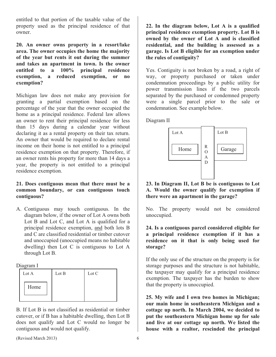entitled to that portion of the taxable value of the property used as the principal residence of that owner.

**20. An owner owns property in a resort/lake area. The owner occupies the home the majority of the year but rents it out during the summer and takes an apartment in town. Is the owner entitled to a 100% principal residence exemption, a reduced exemption, or no exemption?**

Michigan law does not make any provision for granting a partial exemption based on the percentage of the year that the owner occupied the home as a principal residence. Federal law allows an owner to rent their principal residence for less than 15 days during a calendar year without declaring it as a rental property on their tax return. An owner that would be required to declare rental income on their home is not entitled to a principal residence exemption on that property. Therefore, if an owner rents his property for more than 14 days a year, the property is not entitled to a principal residence exemption.

#### **21. Does contiguous mean that there must be a common boundary, or can contiguous touch contiguous?**

A. Contiguous may touch contiguous. In the diagram below, if the owner of Lot A owns both Lot B and Lot C, and Lot A is qualified for a principal residence exemption, and both lots B and C are classified residential or timber cutover and unoccupied (unoccupied means no habitable dwelling) then Lot C is contiguous to Lot A through Lot B.

#### Diagram I

| Lot A | Lot B | Lot C |
|-------|-------|-------|
| Home  |       |       |
|       |       |       |

B. If Lot B is not classified as residential or timber cutover, or if B has a habitable dwelling, then Lot B does not qualify and Lot C would no longer be contiguous and would not qualify.

**22. In the diagram below, Lot A is a qualified principal residence exemption property. Lot B is owned by the owner of Lot A and is classified residential, and the building is assessed as a garage. Is Lot B eligible for an exemption under the rules of contiguity?** 

Yes. Contiguity is not broken by a road, a right of way, or property purchased or taken under condemnation proceedings by a public utility for power transmission lines if the two parcels separated by the purchased or condemned property were a single parcel prior to the sale or condemnation. See example below.

Diagram II



#### **23. In Diagram II, Lot B be is contiguous to Lot A. Would the owner qualify for exemption if there were an apartment in the garage?**

No. The property would not be considered unoccupied.

#### **24. Is a contiguous parcel considered eligible for a principal residence exemption if it has a residence on it that is only being used for storage?**

If the only use of the structure on the property is for storage purposes and the structure is not habitable, the taxpayer may qualify for a principal residence exemption. The taxpayer has the burden to show that the property is unoccupied.

**25. My wife and I own two homes in Michigan; our main home in southeastern Michigan and a cottage up north. In March 2004, we decided to put the southeastern Michigan home up for sale and live at our cottage up north. We listed the house with a realtor, rescinded the principal** 

(Revised March 2013) 6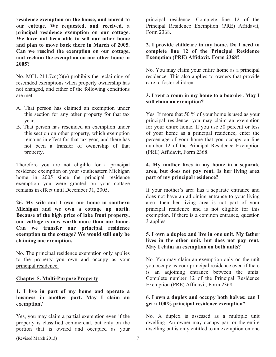**residence exemption on the house, and moved to our cottage. We requested, and received, a principal residence exemption on our cottage. We have not been able to sell our other home and plan to move back there in March of 2005. Can we rescind the exemption on our cottage, and reclaim the exemption on our other home in 2005?**

No. MCL 211.7cc(2)(e) prohibits the reclaiming of rescinded exemptions when property ownership has not changed, and either of the following conditions are met:

- A. That person has claimed an exemption under this section for any other property for that tax year.
- B. That person has rescinded an exemption under this section on other property, which exemption remains in effect for that tax year, and there has not been a transfer of ownership of that property.

Therefore you are not eligible for a principal residence exemption on your southeastern Michigan home in 2005 since the principal residence exemption you were granted on your cottage remains in effect until December 31, 2005.

**26. My wife and I own our home in southern Michigan and we own a cottage up north. Because of the high price of lake front property, our cottage is now worth more than our home. Can we transfer our principal residence exemption to the cottage? We would still only be claiming one exemption.** 

No. The principal residence exemption only applies to the property you own and occupy as your principal residence**.**

#### **Chapter 5. Multi-Purpose Property**

#### **1. I live in part of my home and operate a business in another part. May I claim an exemption?**

Yes, you may claim a partial exemption even if the property is classified commercial, but only on the portion that is owned and occupied as your

principal residence. Complete line 12 of the Principal Residence Exemption (PRE) Affidavit, Form 2368.

#### **2. I provide childcare in my home. Do I need to complete line 12 of the Principal Residence Exemption (PRE) Affidavit, Form 2368?**

No. You may claim your entire home as a principal residence. This also applies to owners that provide care to foster children.

# **3. I rent a room in my home to a boarder. May I still claim an exemption?**

Yes. If more that 50 % of your home is used as your principal residence, you may claim an exemption for your entire home. If you use 50 percent or less of your home as a principal residence, enter the percentage of your home that you occupy on line number 12 of the Principal Residence Exemption (PRE) Affidavit, Form 2368.

# **4. My mother lives in my home in a separate area, but does not pay rent. Is her living area part of my principal residence?**

If your mother's area has a separate entrance and does not have an adjoining entrance to your living area, then her living area is not part of your principal residence and is not eligible for this exemption. If there is a common entrance, question 3 applies.

#### **5. I own a duplex and live in one unit. My father lives in the other unit, but does not pay rent. May I claim an exemption on both units?**

No. You may claim an exemption only on the unit you occupy as your principal residence even if there is an adjoining entrance between the units. Complete number 12 of the Principal Residence Exemption (PRE) Affidavit, Form 2368.

# **6. I own a duplex and occupy both halves; can I get a 100% principal residence exemption?**

No. A duplex is assessed as a multiple unit dwelling. An owner may occupy part or the entire dwelling but is only entitled to an exemption on one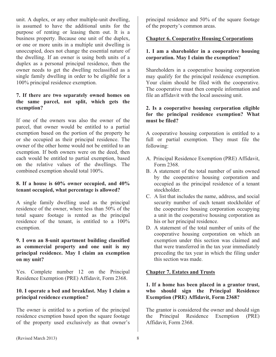unit. A duplex, or any other multiple-unit dwelling, is assumed to have the additional units for the purpose of renting or leasing them out. It is a business property. Because one unit of the duplex, or one or more units in a multiple unit dwelling is unoccupied, does not change the essential nature of the dwelling. If an owner is using both units of a duplex as a personal principal residence, then the owner needs to get the dwelling reclassified as a single family dwelling in order to be eligible for a 100% principal residence exemption.

#### **7. If there are two separately owned homes on the same parcel, not split, which gets the exemption?**

If one of the owners was also the owner of the parcel, that owner would be entitled to a partial exemption based on the portion of the property he or she occupied as their principal residence. The owner of the other home would not be entitled to an exemption. If both owners were on the deed, then each would be entitled to partial exemption, based on the relative values of the dwellings. The combined exemption should total 100%.

# **8. If a house is 60% owner occupied, and 40% tenant occupied, what percentage is allowed?**

A single family dwelling used as the principal residence of the owner, where less than 50% of the total square footage is rented as the principal residence of the tenant, is entitled to a 100% exemption.

#### **9. I own an 8-unit apartment building classified as commercial property and one unit is my principal residence. May I claim an exemption on my unit?**

Yes. Complete number 12 on the Principal Residence Exemption (PRE) Affidavit, Form 2368.

#### **10. I operate a bed and breakfast. May I claim a principal residence exemption?**

The owner is entitled to a portion of the principal residence exemption based upon the square footage of the property used exclusively as that owner's principal residence and 50% of the square footage of the property's common areas.

# **Chapter 6. Cooperative Housing Corporations**

#### **1. I am a shareholder in a cooperative housing corporation. May I claim the exemption?**

Shareholders in a cooperative housing corporation may qualify for the principal residence exemption. Your claim should be filed with the cooperative. The cooperative must then compile information and file an affidavit with the local assessing unit.

#### **2. Is a cooperative housing corporation eligible for the principal residence exemption? What must be filed?**

A cooperative housing corporation is entitled to a full or partial exemption. They must file the following:

- A. Principal Residence Exemption (PRE) Affidavit, Form 2368.
- B. A statement of the total number of units owned by the cooperative housing corporation and occupied as the principal residence of a tenant stockholder.
- C. A list that includes the name, address, and social security number of each tenant stockholder of the cooperative housing corporation occupying a unit in the cooperative housing corporation as his or her principal residence.
- D. A statement of the total number of units of the cooperative housing corporation on which an exemption under this section was claimed and that were transferred in the tax year immediately preceding the tax year in which the filing under this section was made.

#### **Chapter 7. Estates and Trusts**

# **1. If a home has been placed in a grantor trust, who should sign the Principal Residence Exemption (PRE) Affidavit, Form 2368?**

The grantor is considered the owner and should sign the Principal Residence Exemption (PRE) Affidavit, Form 2368.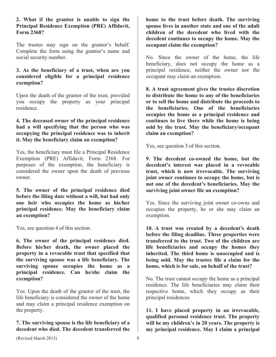#### **2. What if the grantor is unable to sign the Principal Residence Exemption (PRE) Affidavit, Form 2368?**

The trustee may sign on the grantor's behalf. Complete the form using the grantor's name and social security number.

#### **3. As the beneficiary of a trust, when are you considered eligible for a principal residence exemption?**

Upon the death of the grantor of the trust, provided you occupy the property as your principal residence.

#### **4. The deceased owner of the principal residence had a will specifying that the person who was occupying the principal residence was to inherit it. May the beneficiary claim an exemption?**

Yes, the beneficiary must file a Principal Residence Exemption (PRE) Affidavit, Form 2368. For purposes of the exemption, the beneficiary is considered the owner upon the death of previous owner.

**5. The owner of the principal residence died before the filing date without a will, but had only one heir who occupies the home as his/her principal residence. May the beneficiary claim an exemption?** 

Yes, see question 4 of this section.

**6. The owner of the principal residence died. Before his/her death, the owner placed the property in a revocable trust that specified that the surviving spouse was a life beneficiary. The surviving spouse occupies the home as a principal residence. Can he/she claim the exemption?**

Yes. Upon the death of the grantor of the trust, the life beneficiary is considered the owner of the home and may claim a principal residence exemption on the property.

# **7. The surviving spouse is the life beneficiary of a decedent who died. The decedent transferred the**

**home to the trust before death. The surviving spouse lives in another state and one of the adult children of the decedent who lived with the decedent continues to occupy the home. May the occupant claim the exemption?** 

No. Since the owner of the home, the life beneficiary, does not occupy the home as a principal residence, neither the owner nor the occupant may claim an exemption.

**8. A trust agreement gives the trustee discretion to distribute the home to any of the beneficiaries or to sell the home and distribute the proceeds to the beneficiaries. One of the beneficiaries occupies the home as a principal residence and continues to live there while the home is being sold by the trust. May the beneficiary/occupant claim an exemption?** 

Yes, see question 3 of this section.

**9. The decedent co-owned the home, but the decedent's interest was placed in a revocable trust, which is now irrevocable. The surviving joint owner continues to occupy the home, but is not one of the decedent's beneficiaries. May the surviving joint owner file an exemption?** 

Yes. Since the surviving joint owner co-owns and occupies the property, he or she may claim an exemption.

**10. A trust was created by a decedent's death before the filing deadline. Three properties were transferred to the trust. Two of the children are life beneficiaries and occupy the homes they inherited. The third home is unoccupied and is being sold. May the trustee file a claim for the home, which is for sale, on behalf of the trust?** 

No. The trust cannot occupy the home as a principal residence. The life beneficiaries may claim their respective home, which they occupy as their principal residences.

**11. I have placed property in an irrevocable, qualified personal residence trust. The property will be my children's in 20 years. The property is my principal residence. May I claim a principal**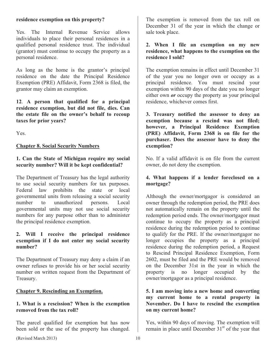#### **residence exemption on this property?**

Yes. The Internal Revenue Service allows individuals to place their personal residences in a qualified personal residence trust. The individual (grantor) must continue to occupy the property as a personal residence.

As long as the home is the grantor's principal residence on the date the Principal Residence Exemption (PRE) Affidavit, Form 2368 is filed, the grantor may claim an exemption.

**12**. **A person that qualified for a principal residence exemption, but did not file, dies. Can the estate file on the owner's behalf to recoup taxes for prior years?** 

Yes.

**Chapter 8. Social Security Numbers** 

#### **1. Can the State of Michigan require my social security number? Will it be kept confidential?**

The Department of Treasury has the legal authority to use social security numbers for tax purposes. Federal law prohibits the state or local governmental units from releasing a social security number to unauthorized persons. Local governmental units may not use social security numbers for any purpose other than to administer the principal residence exemption.

#### **2. Will I receive the principal residence exemption if I do not enter my social security number?**

The Department of Treasury may deny a claim if an owner refuses to provide his or her social security number on written request from the Department of Treasury.

#### **Chapter 9. Rescinding an Exemption.**

#### **1. What is a rescission? When is the exemption removed from the tax roll?**

The parcel qualified for exemption but has now been sold or the use of the property has changed. The exemption is removed from the tax roll on December 31 of the year in which the change or sale took place.

#### **2. When I file an exemption on my new residence, what happens to the exemption on the residence I sold?**

The exemption remains in effect until December 31 of the year you no longer own or occupy as a principal residence. You must rescind your exemption within 90 days of the date you no longer either own *or* occupy the property as your principal residence, whichever comes first.

**3. Treasury notified the assessor to deny an exemption because a rescind was not filed; however, a Principal Residence Exemption (PRE) Affidavit, Form 2368 is on file for the purchaser. Does the assessor have to deny the exemption?**

No. If a valid affidavit is on file from the current owner, do not deny the exemption.

#### **4. What happens if a lender foreclosed on a mortgage?**

Although the owner/mortgagor is considered an owner through the redemption period, the PRE does not automatically remain on the property until the redemption period ends. The owner/mortgagor must continue to occupy the property as a principal residence during the redemption period to continue to qualify for the PRE. If the owner/mortgagor no longer occupies the property as a principal residence during the redemption period, a Request to Rescind Principal Residence Exemption, Form 2602, must be filed and the PRE would be removed on the December 31st in the year in which the property is no longer occupied by the owner/mortgagor as a principal residence.

#### **5. I am moving into a new home and converting my current home to a rental property in November. Do I have to rescind the exemption on my current home?**

Yes, within 90 days of moving. The exemption will remain in place until December  $31<sup>st</sup>$  of the year that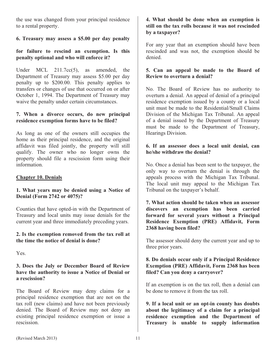the use was changed from your principal residence to a rental property.

# **6. Treasury may assess a \$5.00 per day penalty**

# **for failure to rescind an exemption. Is this penalty optional and who will enforce it?**

Under MCL 211.7cc(5), as amended, the Department of Treasury may assess \$5.00 per day penalty up to \$200.00. This penalty applies to transfers or changes of use that occurred on or after October 1, 1994. The Department of Treasury may waive the penalty under certain circumstances.

# **7. When a divorce occurs, do new principal residence exemption forms have to be filed?**

As long as one of the owners still occupies the home as their principal residence, and the original affidavit was filed jointly, the property will still qualify. The owner who no longer owns the property should file a rescission form using their information.

#### **Chapter 10. Denials**

#### **1. What years may be denied using a Notice of Denial (Form 2742 or 4075)?**

Counties that have opted-in with the Department of Treasury and local units may issue denials for the current year and three immediately preceding years.

#### **2. Is the exemption removed from the tax roll at the time the notice of denial is done?**

Yes.

#### **3. Does the July or December Board of Review have the authority to issue a Notice of Denial or a rescission?**

The Board of Review may deny claims for a principal residence exemption that are not on the tax roll (new claims) and have not been previously denied. The Board of Review may not deny an existing principal residence exemption or issue a rescission.

#### **4. What should be done when an exemption is still on the tax rolls because it was not rescinded by a taxpayer?**

For any year that an exemption should have been rescinded and was not, the exemption should be denied.

#### **5. Can an appeal be made to the Board of Review to overturn a denial?**

No. The Board of Review has no authority to overturn a denial. An appeal of denial of a principal residence exemption issued by a county or a local unit must be made to the Residential/Small Claims Division of the Michigan Tax Tribunal. An appeal of a denial issued by the Department of Treasury must be made to the Department of Treasury, Hearings Division.

#### **6. If an assessor does a local unit denial, can he/she withdraw the denial?**

No. Once a denial has been sent to the taxpayer, the only way to overturn the denial is through the appeals process with the Michigan Tax Tribunal. The local unit may appeal to the Michigan Tax Tribunal on the taxpayer's behalf.

**7. What action should be taken when an assessor discovers an exemption has been carried forward for several years without a Principal Residence Exemption (PRE) Affidavit, Form 2368 having been filed?** 

The assessor should deny the current year and up to three prior years.

#### **8. Do denials occur only if a Principal Residence Exemption (PRE) Affidavit, Form 2368 has been filed? Can you deny a carryover?**

If an exemption is on the tax roll, then a denial can be done to remove it from the tax roll.

**9. If a local unit or an opt-in county has doubts about the legitimacy of a claim for a principal residence exemption and the Department of Treasury is unable to supply information**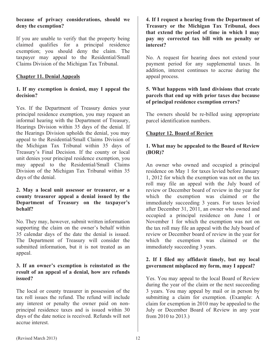# **because of privacy considerations, should we deny the exemption?**

If you are unable to verify that the property being claimed qualifies for a principal residence exemption; you should deny the claim. The taxpayer may appeal to the Residential/Small Claims Division of the Michigan Tax Tribunal.

# **Chapter 11. Denial Appeals**

#### **1. If my exemption is denied, may I appeal the decision?**

Yes. If the Department of Treasury denies your principal residence exemption, you may request an informal hearing with the Department of Treasury, Hearings Division within 35 days of the denial. If the Hearings Division upholds the denial, you may appeal to the Residential/Small Claims Division of the Michigan Tax Tribunal within 35 days of Treasury's Final Decision. If the county or local unit denies your principal residence exemption, you may appeal to the Residential/Small Claims Division of the Michigan Tax Tribunal within 35 days of the denial.

#### **2. May a local unit assessor or treasurer, or a county treasurer appeal a denial issued by the Department of Treasury on the taxpayer's behalf?**

No. They may, however, submit written information supporting the claim on the owner's behalf within 35 calendar days of the date the denial is issued. The Department of Treasury will consider the submitted information, but it is not treated as an appeal.

#### **3. If an owner's exemption is reinstated as the result of an appeal of a denial, how are refunds issued?**

The local or county treasurer in possession of the tax roll issues the refund. The refund will include any interest or penalty the owner paid on nonprincipal residence taxes and is issued within 30 days of the date notice is received. Refunds will not accrue interest.

**4. If I request a hearing from the Department of Treasury or the Michigan Tax Tribunal, does that extend the period of time in which I may pay my corrected tax bill with no penalty or interest?**

No. A request for hearing does not extend your payment period for any supplemental taxes. In addition, interest continues to accrue during the appeal process.

#### **5. What happens with land divisions that create parcels that end up with prior taxes due because of principal residence exemption errors?**

The owners should be re-billed using appropriate parcel identification numbers.

# **Chapter 12. Board of Review**

# **1. What may be appealed to the Board of Review (BOR)?**

An owner who owned and occupied a principal residence on May 1 for taxes levied before January 1, 2012 for which the exemption was not on the tax roll may file an appeal with the July board of review or December board of review in the year for which the exemption was claimed or the immediately succeeding 3 years. For taxes levied after December 31, 2011, an owner who owned and occupied a principal residence on June 1 or November 1 for which the exemption was not on the tax roll may file an appeal with the July board of review or December board of review in the year for which the exemption was claimed or the immediately succeeding 3 years.

# **2. If I filed my affidavit timely, but my local government misplaced my form, may I appeal?**

Yes. You may appeal to the local Board of Review during the year of the claim or the next succeeding 3 years. You may appeal by mail or in person by submitting a claim for exemption. (Example: A claim for exemption in 2010 may be appealed to the July or December Board of Review in any year from 2010 to 2013.)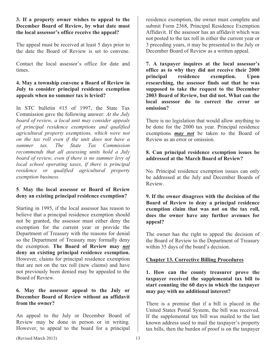#### **3. If a property owner wishes to appeal to the December Board of Review, by what date must the local assessor's office receive the appeal?**

The appeal must be received at least 5 days prior to the date the Board of Review is set to convene.

Contact the local assessor's office for date and times.

# **4. May a township convene a Board of Review in July to consider principal residence exemption appeals when no summer tax is levied?**

In STC bulletin #15 of 1997, the State Tax Commission gave the following answer: *At the July board of review, a local unit may consider appeals of principal residence exemptions and qualified agricultural property exemptions, which were not on the tax roll even if the unit does not have a summer tax. The State Tax Commission recommends that all assessing units hold a July board of review, even if there is no summer levy of local school operating taxes, if there is principal residence or qualified agricultural property exemption business.* 

# **5**. **May the local assessor or Board of Review deny an existing principal residence exemption?**

Starting in 1995, if the local assessor has reason to believe that a principal residence exemption should not be granted, the assessor must either deny the exemption for the current year or provide the Department of Treasury with the reasons for denial so the Department of Treasury may formally deny the exemption. **The Board of Review may** *not* **deny an existing principal residence exemption.**  However, claims for principal residence exemption that are not on the tax roll (new claims) and have not previously been denied may be appealed to the Board of Review.

# **6. May the assessor appeal to the July or December Board of Review without an affidavit from the owner?**

An appeal to the July or December Board of Review may be done in person or in writing. However, to appeal to the board for a principal

residence exemption, the owner must complete and submit Form 2368, Principal Residence Exemption Affidavit. If the assessor has an affidavit which was not posted to the tax roll in either the current year or 3 preceding years, it may be presented to the July or December Board of Review as a written appeal.

**7. A taxpayer inquires at the local assessor's office as to why they did not receive their 2000 principal residence exemption. Upon researching, the assessor finds out that he was supposed to take the request to the December 2003 Board of Review, but did not. What can the local assessor do to correct the error or omission?**

There is no legislation that would allow anything to be done for the 2000 tax year. Principal residence exemptions *may not* be taken to the Board of Review as an error or omission.

# **8. Can principal residence exemption issues be addressed at the March Board of Review?**

No. Principal residence exemption issues can only be addressed at the July and December Boards of Review.

**9. If the owner disagrees with the decision of the Board of Review to deny a principal residence exemption claim that was not on the tax roll, does the owner have any further avenues for appeal?**

The owner has the right to appeal the decision of the Board of Review to the Department of Treasury within 35 days of the board's decision.

# **Chapter 13. Corrective Billing Procedures**

**1. How can the county treasurer prove the taxpayer received the supplemental tax bill to start counting the 60 days in which the taxpayer may pay with no additional interest?** 

There is a premise that if a bill is placed in the United States Postal System, the bill was received. If the supplemental tax bill was mailed to the last known address used to mail the taxpayer's property tax bills, then the burden of proof is on the taxpayer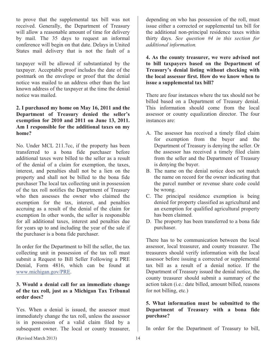to prove that the supplemental tax bill was not received. Generally, the Department of Treasury will allow a reasonable amount of time for delivery by mail. The 35 days to request an informal conference will begin on that date. Delays in United States mail delivery that is not the fault of a

taxpayer will be allowed if substantiated by the taxpayer. Acceptable proof includes the date of the postmark on the envelope or proof that the denial notice was mailed to an address other than the last known address of the taxpayer at the time the denial notice was mailed.

## **2. I purchased my home on May 16, 2011 and the Department of Treasury denied the seller's exemption for 2010 and 2011 on June 13, 2011. Am I responsible for the additional taxes on my home?**

No. Under MCL 211.7cc, if the property has been transferred to a bona fide purchaser before additional taxes were billed to the seller as a result of the denial of a claim for exemption, the taxes, interest, and penalties shall not be a lien on the property and shall not be billed to the bona fide purchaser The local tax collecting unit in possession of the tax roll notifies the Department of Treasury who then assesses the owner who claimed the exemption for the tax, interest, and penalties accruing as a result of the denial of the claim for exemption In other words, the seller is responsible for all additional taxes, interest and penalties due for years up to and including the year of the sale if the purchaser is a bona fide purchaser.

In order for the Department to bill the seller, the tax collecting unit in possession of the tax roll must submit a Request to Bill Seller Following a PRE Denial, Form 4816, which can be found at www.michigan.gov/PRE.

#### **3. Would a denial call for an immediate change of the tax roll, just as a Michigan Tax Tribunal order does?**

Yes. When a denial is issued, the assessor must immediately change the tax roll, unless the assessor is in possession of a valid claim filed by a subsequent owner. The local or county treasurer,

depending on who has possession of the roll, must issue either a corrected or supplemental tax bill for the additional non-principal residence taxes within thirty days. *See question #4 in this section for additional information.* 

**4. As the county treasurer, we were advised not to bill taxpayers based on the Department of Treasury's denial listing without checking with the local assessor first. How do we know when to issue a supplemental tax bill?** 

There are four instances where the tax should not be billed based on a Department of Treasury denial. This information should come from the local assessor or county equalization director. The four instances are:

- A. The assessor has received a timely filed claim for exemption from the buyer and the Department of Treasury is denying the seller. Or the assessor has received a timely filed claim from the seller and the Department of Treasury is denying the buyer.
- B. The name on the denial notice does not match the name on record for the owner indicating that the parcel number or revenue share code could be wrong.
- C. The principal residence exemption is being denied for property classified as agricultural and an exemption for qualified agricultural property has been claimed.
- D. The property has been transferred to a bona fide purchaser.

There has to be communication between the local assessor, local treasurer, and county treasurer. The treasurers should verify information with the local assessor before issuing a corrected or supplemental tax bill as a result of a denial notice. If the Department of Treasury issued the denial notice, the county treasurer should submit a summary of the action taken (i.e.: date billed, amount billed, reasons for not billing, etc.)

# **5. What information must be submitted to the Department of Treasury with a bona fide purchase?**

In order for the Department of Treasury to bill,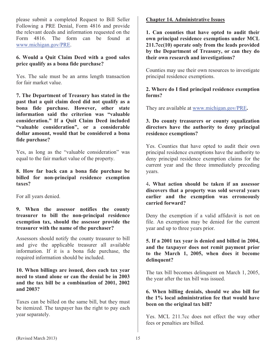please submit a completed Request to Bill Seller Following a PRE Denial, Form 4816 and provide the relevant deeds and information requested on the Form 4816. The form can be found at www.michigan.gov/PRE.

#### **6. Would a Quit Claim Deed with a good sales price qualify as a bona fide purchase?**

Yes. The sale must be an arms length transaction for fair market value.

**7. The Department of Treasury has stated in the past that a quit claim deed did not qualify as a bona fide purchase. However, other state information said the criterion was "valuable consideration." If a Quit Claim Deed included "valuable consideration", or a considerable dollar amount, would that be considered a bona fide purchase?** 

Yes, as long as the "valuable consideration" was equal to the fair market value of the property.

**8. How far back can a bona fide purchase be billed for non-principal residence exemption taxes?**

For all years denied.

**9. When the assessor notifies the county treasurer to bill the non-principal residence exemption tax, should the assessor provide the treasurer with the name of the purchaser?** 

Assessors should notify the county treasurer to bill and give the applicable treasurer all available information. If it is a bona fide purchase, the required information should be included.

# **10. When billings are issued, does each tax year need to stand alone or can the denial be in 2003 and the tax bill be a combination of 2001, 2002 and 2003?**

Taxes can be billed on the same bill, but they must be itemized. The taxpayer has the right to pay each year separately.

# **Chapter 14. Administrative Issues**

**1. Can counties that have opted to audit their own principal residence exemptions under MCL 211.7cc(10) operate only from the leads provided by the Department of Treasury, or can they do their own research and investigations?** 

Counties may use their own resources to investigate principal residence exemptions.

# **2. Where do I find principal residence exemption forms?**

They are available at www.michigan.gov/PRE**.**

#### **3. Do county treasurers or county equalization directors have the authority to deny principal residence exemptions?**

Yes. Counties that have opted to audit their own principal residence exemptions have the authority to deny principal residence exemption claims for the current year and the three immediately preceding years.

# 4**. What action should be taken if an assessor discovers that a property was sold several years earlier and the exemption was erroneously carried forward?**

Deny the exemption if a valid affidavit is not on file. An exemption may be denied for the current year and up to three years prior.

**5. If a 2001 tax year is denied and billed in 2004, and the taxpayer does not remit payment prior to the March 1, 2005, when does it become delinquent?**

The tax bill becomes delinquent on March 1, 2005, the year after the tax bill was issued.

# **6. When billing denials, should we also bill for the 1% local administration fee that would have been on the original tax bill?**

Yes. MCL 211.7cc does not effect the way other fees or penalties are billed.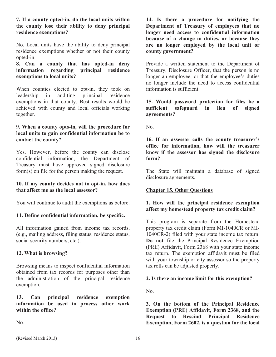#### **7. If a county opted-in, do the local units within the county lose their ability to deny principal residence exemptions?**

No. Local units have the ability to deny principal residence exemptions whether or not their county opted-in.

**8. Can a county that has opted-in deny information regarding principal residence exemptions to local units?** 

When counties elected to opt-in, they took on leadership in auditing principal residence exemptions in that county. Best results would be achieved with county and local officials working together.

#### **9. When a county opts-in, will the procedure for local units to gain confidential information be to contact the county?**

Yes. However, before the county can disclose confidential information, the Department of Treasury must have approved signed disclosure form(s) on file for the person making the request.

# **10. If my county decides not to opt-in, how does that affect me as the local assessor?**

You will continue to audit the exemptions as before.

# **11. Define confidential information, be specific.**

All information gained from income tax records, (e.g., mailing address, filing status, residence status, social security numbers, etc.).

# **12. What is browsing?**

Browsing means to inspect confidential information obtained from tax records for purposes other than the administration of the principal residence exemption.

**13. Can principal residence exemption information be used to process other work within the office?** 

No.

**14. Is there a procedure for notifying the Department of Treasury of employees that no longer need access to confidential information because of a change in duties, or because they are no longer employed by the local unit or county government?**

Provide a written statement to the Department of Treasury, Disclosure Officer, that the person is no longer an employee, or that the employee's duties no longer include the need to access confidential information is sufficient.

**15. Would password protection for files be a sufficient safeguard in lieu of signed agreements?**

No.

**16. If an assessor calls the county treasurer's office for information, how will the treasurer know if the assessor has signed the disclosure form?**

The State will maintain a database of signed disclosure agreements.

# **Chapter 15. Other Questions**

# **1. How will the principal residence exemption affect my homestead property tax credit claim?**

This program is separate from the Homestead property tax credit claim (Form MI-1040CR or MI-1040CR-2) filed with your state income tax return. **Do not** file the Principal Residence Exemption (PRE) Affidavit, Form 2368 with your state income tax return. The exemption affidavit must be filed with your township or city assessor so the property tax rolls can be adjusted properly.

# **2. Is there an income limit for this exemption?**

No.

**3. On the bottom of the Principal Residence Exemption (PRE) Affidavit, Form 2368, and the Request to Rescind Principal Residence Exemption, Form 2602, is a question for the local**